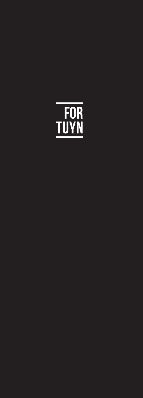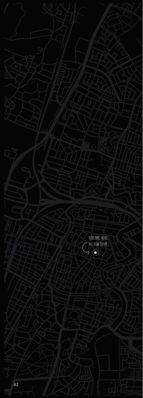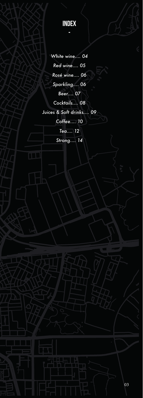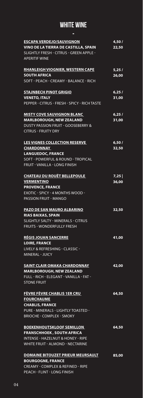# WHITE WINE

| Ξ                                                                                                                                                                              |                          |
|--------------------------------------------------------------------------------------------------------------------------------------------------------------------------------|--------------------------|
| <b>ESCAPA VERDEJO/SAUVIGNON</b><br><b>VINO DE LA TIERRA DE CASTILLA, SPAIN</b><br>SLIGHTLY FRESH - CITRUS - GREEN APPLE -<br><b>APERITIF WINE</b>                              | 4,50/<br>22,50           |
| <b>RHANLEIGH VIOGNIER, WESTERN CAPE</b><br><b>SOUTH AFRICA</b><br>SOFT - PEACH - CREAMY - BALANCE - RICH                                                                       | $\sqrt{5,25}$ /<br>26,00 |
| <b>STAJNBECH PINOT GRIGIO</b><br><b>VENETO, ITALY</b><br>PEPPER - CITRUS - FRESH - SPICY - RICH TASTE                                                                          | 6,25/<br>31,00           |
| <b>MISTY COVE SAUVIGNON BLANC</b><br><b>MARLBOROUGH, NEW ZEALAND</b><br><b>DUSTY PASSION FRUIT - GOOSEBERRY &amp;</b><br><b>CITRUS - FRUITY DRY</b>                            | 6,25/<br>31,00           |
| <b>LES VIGNES COLLECTION RESERVE</b><br><b>CHARDONNAY</b><br><b>LANGUEDOC, FRANCE</b><br><b>SOFT - POWERFUL &amp; ROUND - TROPICAL</b><br><b>FRUIT - VANILLA - LONG FINISH</b> | 6,50/<br>32,50           |
| <b>CHATEAU DU ROUËT BELLEPOULE</b><br><b>VERMENTINO</b><br><b>PROVENCE, FRANCE</b><br>EXOTIC - SPICY - 4 MONTHS WOOD -<br><b>PASSION FRUIT - MANGO</b>                         | $7,25$  <br>36,00        |
| <b>PAZO DE SAN MAURO ALBARINO</b><br><b>RIAS BAIXAS, SPAIN</b><br><b>SLIGHTLY SALTY - MINERALS - CITRUS</b><br><b>FRUITS - WONDERFULLY FRESH</b>                               | 32,50                    |
| <b>RÉGIS JOUAN SANCERRE</b><br><b>LOIRE, FRANCE</b><br>LIVELY & REFRESHING - CLASSIC -<br><b>MINERAL - JUICY</b>                                                               | 41,00                    |
| <b>SAINT CLAIR OMAKA CHARDONNAY</b><br><b>MARLBOROUGH, NEW ZEALAND</b><br>FULL - RICH - ELEGANT - VANILLA - FAT -<br><b>STONE FRUIT</b>                                        | 42,00                    |
| FÈVRE FÈVRE CHABLIS 1ER CRU<br><b>FOURCHAUME</b><br><b>CHABLIS, FRANCE</b><br>PURE - MINERALS - LIGHTLY TOASTED -<br><b>BRIOCHE - COMPLEX - SMOKY</b>                          | 64,50                    |
| <b>BOEKENHOUTSKLOOF SEMILLON</b><br><b>FRANSCHHOEK, SOUTH AFRICA</b><br><b>INTENSE - HAZELNUT &amp; HONEY - RIPE</b><br><b>WHITE FRUIT - ALMOND - NECTARINE</b>                | 64,50                    |
| <b>DOMAINE BITOUZET PRIEUR MEURSAULT</b><br><b>BOURGOGNE, FRANCE</b><br><b>CREAMY - COMPLEX &amp; REFINED - RIPE</b><br>PEACH - FLINT - LONG FINISH                            | 85,00                    |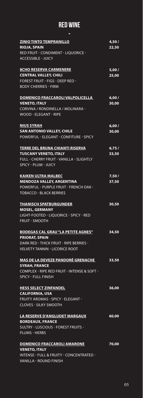# RED WINE

| <b>ZINIO TINTO TEMPRANILLO</b><br><b>RIOJA, SPAIN</b><br>RED FRUIT - CONDIMENT - LIQUORICE -<br><b>ACCESSIBLE - JUICY</b>                                     | 4,50/<br>22,50 |
|---------------------------------------------------------------------------------------------------------------------------------------------------------------|----------------|
| <b>8CHO RESERVA CARMENERE</b><br><b>CENTRAL VALLEY, CHILI</b><br><b>FOREST FRUIT - FIGS - DEEP RED -</b><br><b>BODY CHERRIES - FIRM</b>                       | 5,00/<br>25,00 |
| <b>DOMENICO FRACCAROLI VALPOLICELLA</b><br><b>VENETO, ITALY</b><br>CORVINA / RONDINELLA / MOLINARA -<br><b>WOOD - ELEGANT - RIPE</b>                          | 6,00/<br>30,00 |
| <b>NIUS SYRAH</b><br><b>SAN ANTONIO VALLEY, CHILE</b><br>POWERFUL - ELEGANT - CONFITURE - SPICY                                                               | 6,00/<br>30,00 |
| <b>TERRE DEL BRUNA CHIANTI RISERVA</b><br><b>TUSCANY VENETO, ITALY</b><br><b>FULL - CHERRY FRUIT - VANILLA - SLIGHTLY</b><br><b>SPICY - PLUM - JUICY</b>      | 6,75/<br>33,50 |
| <b>KAIKEN ULTRA MALBEC</b><br><b>MENDOZA VALLEY, ARGENTINA</b><br><b>POWERFUL - PURPLE FRUIT - FRENCH OAK -</b><br><b>TOBACCO - BLACK BERRIES</b>             | 7,50/<br>37,50 |
| <b>THANISCH SPATBURGUNDER</b><br><b>MOSEL, GERMANY</b><br>LIGHT-FOOTED - LIQUORICE - SPICY - RED<br><b>FRUIT - SMOOTH</b>                                     | 30,50          |
| <b>BODEGAS CAL GRAU "LA PETITE AGNES"</b><br><b>PRIORAT, SPAIN</b><br><b>DARK RED - THICK FRUIT - RIPE BERRIES -</b><br><b>VELVETY TANNIN - LICORICE ROOT</b> | 34,50          |
| <u>MAS DE LA DEVEZE PANDORÉ GRENACHE</u><br><b>SYRAH, FRANCE</b><br>COMPLEX - RIPE RED FRUIT - INTENSE & SOFT -<br><b>SPICY - FULL FINISH</b>                 | 33,50          |
| <b>HESS SELECT ZINFANDEL</b><br><b>CALIFORNIA, USA</b><br><b>FRUITY AROMAS - SPICY - ELEGANT -</b><br><b>CLOVES - SILKY SMOOTH</b>                            | 36,00          |
| <b>LA RESERVE D'ANGLUDET MARGAUX</b><br><b>BORDEAUX, FRANCE</b><br><b>SULTRY - LUSCIOUS - FOREST FRUITS -</b><br><b>PLUMS - HERBS</b>                         | 60,00          |
| <b>DOMENICO FRACCAROLI AMARONE</b><br><b>VENETO, ITALY</b><br><b>INTENSE - FULL &amp; FRUITY - CONCENTRATED -</b><br>VANILLA - ROUND FINISH                   | 70,00          |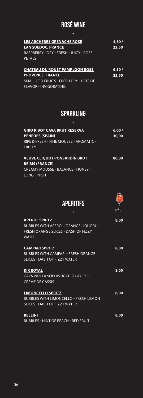# ROSÉ WINE

| LES ARCHERES GRENACHE ROSÉ             | 4,50/ |
|----------------------------------------|-------|
| <b>LANGUEDOC, FRANCE</b>               | 22,50 |
| RASPBERRY - DRY - FRESH - JUICY - ROSE |       |
| <b>PFTAIS</b>                          |       |
|                                        |       |
| CHATEAU DU ROUËT PAMPLOON ROSÉ         | 6,50/ |
| <b>PROVENCE, FRANCE</b>                | 32,50 |
| SMALL RED FRUITS - FRESH DRY - LOTS OF |       |
| FLAVOR - INVIGORATING                  |       |

# SPARKLING

| <b>GIRO RIBOT CAVA BRUT RESERVA</b><br><b>PENEDES (SPAIN)</b><br>RIPE & FRESH - FINE MOUSSE - AROMATIC - | 6,00/<br>30,00 |
|----------------------------------------------------------------------------------------------------------|----------------|
| <b>FRUITY</b>                                                                                            |                |
| <b>VEUVE CLIQUOT PONSARDIN BRUT</b><br><b>REIMS (FRANCE)</b>                                             | 80,00          |
| <b>CREAMY MOUSSE - BALANCE - HONEY -</b><br>LONG FINISH                                                  |                |

### **APERITIFS** -



| <b>APEROL SPRITZ</b><br><b>BUBBLES WITH APEROL (ORANGE LIQUOR) -</b><br>FRESH ORANGE SLICES - DASH OF FIZZY<br><b>WATER</b> | 8,00 |
|-----------------------------------------------------------------------------------------------------------------------------|------|
| <b>CAMPARI SPRITZ</b><br><b>BUBBLES WITH CAMPARI - FRESH ORANGE</b><br><b>SLICES - DASH OF FIZZY WATER</b>                  | 8,00 |
| <b>KIR ROYAL</b><br>CAVA WITH A SOPHISTICATED LAYER OF<br>CRÈME DE CASSIS                                                   | 8,00 |
| <b>LIMONCELLO SPRITZ</b><br><b>BUBBLES WITH LIMONCELLO - FRESH LEMON</b><br><b>SLICES - DASH OF FIZZY WATER</b>             | 8,00 |
| <b>BELLINI</b><br><b>BUBBLES - HINT OF PEACH - RED FRUIT</b>                                                                | 8,00 |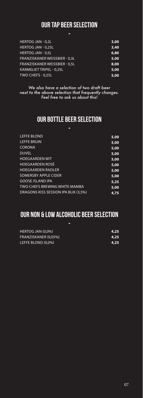# OUR TAP BEER SELECTION

| п                                    |      |
|--------------------------------------|------|
| <b>HERTOG JAN - 0.2L</b>             | 3,00 |
| <b>HERTOG JAN - 0.25L</b>            | 3,40 |
| <b>HERTOG JAN - 0.5L</b>             | 6,80 |
| FRANZISKANER WEISSBIER - 0,3L        | 5,00 |
| <b>FRANZISKANER WEISSBIER - 0.5L</b> | 8,00 |
| KARMELIET TRIPEL - 0,25L             | 5,00 |
| TWO CHEFS - 0,25L                    | 5,00 |

*We also have a selection of two draft beer next to the above selection that frequently changes. Feel free to ask us about this!*

### OUR BOTTLE BEER SELECTION -

| <b>LEFFE BLOND</b>                   | 5,00 |
|--------------------------------------|------|
| <b>LEFFE BRUIN</b>                   | 5,00 |
| <b>CORONA</b>                        | 5,00 |
| <b>DUVEL</b>                         | 5,00 |
| <b>HOEGAARDEN WIT</b>                | 5,00 |
| <b>HOEGAARDEN ROSÉ</b>               | 5,00 |
| <b>HOEGAARDEN RADLER</b>             | 5,00 |
| <b>SOMERSBY APPLE CIDER</b>          | 5,00 |
| <b>GOOSE ISLAND IPA</b>              | 5,25 |
| TWO CHEFS BREWING WHITE MAMBA        | 5,00 |
| DRAGONS KISS SESSION IPA BLIK (3,5%) | 4.75 |
|                                      |      |

### OUR NON & LOW ALCOHOLIC BEER SELECTION -

| HERTOG JAN (0.0%)    | 4,25  |
|----------------------|-------|
| FRANZISKANER (0.05%) | -4,25 |
| LEFFE BLOND (0.0%)   | 4,25  |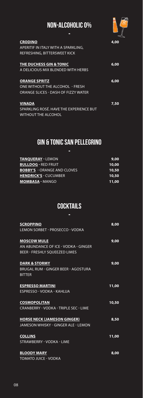# NON-ALCOHOLIC 0%



| <b>CRODINO</b><br>APERITIF IN ITALY WITH A SPARKLING.<br>REFRESHING, BITTERSWEET KICK          | 4.00 |
|------------------------------------------------------------------------------------------------|------|
| THE DUCHESS GIN & TONIC<br>A DELICIOUS MIX BLENDED WITH HERBS                                  | 6,00 |
| <b>ORANGE SPRITZ</b><br>ONE WITHOUT THE ALCOHOL - FRESH<br>ORANGE SLICES - DASH OF FIZZY WATER | 6,00 |
| <b>VINADA</b><br>SPARKLING ROSÉ. HAVE THE EXPERIENCE BUT<br><b>WITHOUT THE ALCOHOL</b>         | 7,50 |

# GIN & TONIC SAN PELLEGRINO

| п                                  |       |
|------------------------------------|-------|
| <b>TANQUERAY - LEMON</b>           | 9,00  |
| <b>BULLDOG - RED FRUIT</b>         | 10,00 |
| <b>BOBBY'S - ORANGE AND CLOVES</b> | 10,50 |
| <b>HENDRICK'S - CUCUMBER</b>       | 10,50 |
| <b>MOMBASA - MANGO</b>             | 11,00 |

## **COCKTAILS** -

| <b>SCROPPINO</b>                       | 8,00  |
|----------------------------------------|-------|
| <b>LEMON SORBET - PROSECCO - VODKA</b> |       |
| <b>MOSCOW MULE</b>                     | 9,00  |
| AN ABUNDANCE OF ICE - VODKA - GINGER   |       |
| <b>BEER - FRESHLY SOUEEZED LIMES</b>   |       |
| <b>DARK &amp; STORMY</b>               | 9,00  |
| BRUGAL RUM - GINGER BEER - AGOSTURA    |       |
| <b>BITTER</b>                          |       |
| <b>ESPRESSO MARTINI</b>                | 11,00 |
| ESPRESSO - VODKA - KAHLUA              |       |
| <b>COSMOPOLITAN</b>                    | 10,50 |
| CRANBERRY - VODKA - TRIPLE SEC - LIME  |       |
| <b>HORSE NECK (JAMESON GINGER)</b>     | 8,50  |
| JAMESON WHISKY - GINGER ALE - LEMON    |       |
| <b>COLLINS</b>                         | 11,00 |
| <b>STRAWBERRY - VODKA - LIME</b>       |       |
| <b>BLOODY MARY</b>                     | 8,00  |
| <b>TOMATO JUICE - VODKA</b>            |       |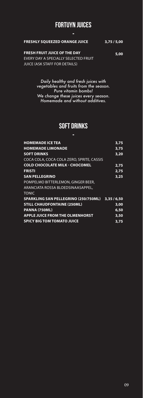# FORTUYN JUICES -

#### **FRESHLY SQUEEZED ORANGE JUICE 3,75 / 5,00**

### **FRESH FRUIT JUICE OF THE DAY**

**5,00**

EVERY DAY A SPECIALLY SELECTED FRUIT JUICE (ASK STAFF FOR DETAILS)

*Daily healthy and fresh juices with vegetables and fruits from the season. Pure vitamin bombs! We change these juices every season. Homemade and without additives.*

### SOFT DRINKS -

| <b>HOMEMADE ICE TEA</b>                          | 3.75 |
|--------------------------------------------------|------|
| <b>HOMEMADE LIMONADE</b>                         | 3.75 |
| <b>SOFT DRINKS</b>                               | 3,20 |
| COCA COLA, COCA COLA ZERO, SPRITE, CASSIS        |      |
| <b>COLD CHOCOLATE MILK - CHOCOMEL</b>            | 2.75 |
| <b>FRISTI</b>                                    | 2.75 |
| <b>SAN PELLEGRINO</b>                            | 3,25 |
| POMPELMO BITTERLEMON, GINGER BEER,               |      |
| ARANCIATA ROSSA BLOEDSINAASAPPEL.                |      |
| <b>TONIC</b>                                     |      |
| SPARKLING SAN PELLEGRINO (250/750ML) 3.35 / 6.50 |      |
| <b>STILL CHAUDFONTAINE (250ML)</b>               | 3,00 |
| PANNA (750ML)                                    | 6,50 |
| <b>APPLE JUICE FROM THE OLMENHORST</b>           | 3,50 |
| <b>SPICY BIG TOM TOMATO JUICE</b>                | 3,75 |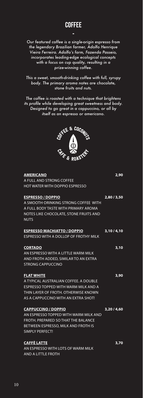*Our featured coffee is a single-origin espresso from the legendary Brazilian farmer, Adolfo Henrique Vieira Ferreira. Adolfo's farm, Fazenda Passeio, incorporates leading-edge ecological concepts with a focus on cup quality, resulting in a prize-winning coffee.* 

*This a sweet, smooth-drinking coffee with full, syrupy body. The primary aroma notes are chocolate, stone fruits and nuts.* 

*The coffee is roasted with a technique that brightens its profile while developing great sweetness and body. Designed to go great in a cappuccino, or all by itself as an espresso or americano.*



| <b>AMERICANO</b>                       | 2,90        |
|----------------------------------------|-------------|
| A FULL AND STRONG COFFEE               |             |
| <b>HOT WATER WITH DOPPIO ESPRESSO</b>  |             |
| <b>ESPRESSO / DOPPIO</b>               | 2,80/3,50   |
| A SMOOTH-DRINKING STRONG COFFEE WITH   |             |
| A FULL BODY TASTE WITH PRIMARY AROMA   |             |
| NOTES LIKE CHOCOLATE, STONE FRUITS AND |             |
| <b>NUTS</b>                            |             |
| <b>ESPRESSO MACHIATTO / DOPPIO</b>     | 3,10/4,10   |
| ESPRESSO WITH A DOLLOP OF FROTHY MILK  |             |
| <b>CORTADO</b>                         | 3,10        |
| AN ESPRESSO WITH A LITTLE WARM MILK    |             |
| AND FROTH ADDED, SIMILAR TO AN EXTRA   |             |
| <b>STRONG CAPPUCCINO</b>               |             |
| <b>FLAT WHITE</b>                      | 3,90        |
| A TYPICAL AUSTRALIAN COFFEE. A DOUBLE  |             |
| ESPRESSO TOPPED WITH WARM MILK AND A   |             |
| THIN LAYER OF FROTH, OTHERWISE KNOWN   |             |
| AS A CAPPUCCINO WITH AN EXTRA SHOT!    |             |
| <b>CAPPUCCINO / DOPPIO</b>             | 3,20 / 4,60 |
| AN ESPRESSO TOPPED WITH WARM MILK AND  |             |
| FROTH, PREPARED SO THAT THE BALANCE    |             |
| BETWEEN ESPRESSO, MILK AND FROTH IS    |             |
| SIMPLY PERFECT!                        |             |
| <b>CAFFÈ LATTE</b>                     | 3,70        |
| AN ESPRESSO WITH LOTS OF WARM MILK     |             |
| AND A LITTLE FROTH                     |             |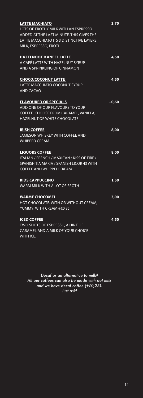| <b>LATTE MACHIATO</b>                       | 3,70    |
|---------------------------------------------|---------|
| LOTS OF FROTHY MILK WITH AN ESPRESSO        |         |
| ADDED AT THE LAST MINUTE. THIS GIVES THE    |         |
| LATTE MACCHIATO ITS 3 DISTINCTIVE LAYERS:   |         |
| MILK, ESPRESSO, FROTH                       |         |
|                                             |         |
| <b>HAZELNOOT-KANEEL LATTE</b>               | 4,50    |
| <u>A CAFÉ LATTE WITH HAZELNUT SYRUP</u>     |         |
| AND A SPRINKLING OF CINNAMON                |         |
|                                             |         |
| <b>CHOCO/COCONUT LATTE</b>                  | 4,50    |
| LATTE MACCHIATO COCONUT SYRUP               |         |
| <b>AND CACAO</b>                            |         |
| <b>FLAVOURED OR SPECIALS</b>                | $+0.60$ |
| ADD ONE OF OUR FLAVOURS TO YOUR             |         |
|                                             |         |
| COFFEE. CHOOSE FROM CARAMEL, VANILLA,       |         |
| <b>HAZELNUT OR WHITE CHOCOLATE</b>          |         |
| <b>IRISH COFFEE</b>                         | 8,00    |
| <b>JAMESON WHISKEY WITH COFFEE AND</b>      |         |
| <b>WHIPPED CREAM</b>                        |         |
|                                             |         |
| <b>LIQUORS COFFEE</b>                       | 8,00    |
| ITALIAN / FRENCH / MAXICAN / KISS OF FIRE / |         |
| SPANISH TIA MARIA / SPANISH LICOR 43 WITH   |         |
| <b>COFFEE AND WHIPPED CREAM</b>             |         |
|                                             |         |
| <b>KIDS CAPPUCCINO</b>                      | 1,50    |
| WARM MILK WITH A LOT OF FROTH               |         |
| <b>WARME CHOCOMEL</b>                       | 3,00    |
| HOT CHOCOLATE. WITH OR WITHOUT CREAM,       |         |
| YUMMY! WITH CREAM +€0,85                    |         |
|                                             |         |
| <b>ICED COFFEE</b>                          | 4,50    |
| TWO SHOTS OF ESPRESSO, A HINT OF            |         |
| <b>CARAMEL AND A MILK OF YOUR CHOICE</b>    |         |
| <b>WITH ICE.</b>                            |         |

*Decaf or an alternative to milk? All our coffees can also be made with oat milk and we have decaf coffee (+€0,25). Just ask!*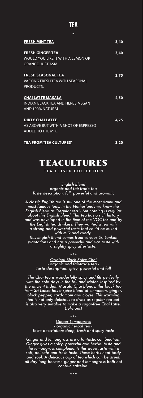### TEA

| <b>FRESH MINT TEA</b>                | 3,40 |
|--------------------------------------|------|
| <b>FRESH GINGER TEA</b>              | 3,40 |
| WOULD YOU LIKE IT WITH A LEMON OR    |      |
| <b>ORANGE, JUST ASK!</b>             |      |
| <b>FRESH SEASONAL TEA</b>            | 3,75 |
| VARYING FRESH TEA WITH SEASONAL      |      |
| PRODUCTS.                            |      |
| <b>CHAI LATTE MASALA</b>             | 4,50 |
| INDIAN BLACK TEA AND HERBS, VEGAN    |      |
| AND 100% NATURAL                     |      |
| <b>DIRTY CHAI LATTE</b>              | 4,75 |
| AS ABOVE BUT WITH A SHOT OF ESPRESSO |      |
| ADDED TO THE MIX.                    |      |
| <b>TEA FROM 'TEA CULTURES'</b>       | 3,20 |

# TEACULTURES

TEA LEAVES COLLECTION

*English Blend - organic and fair-trade tea - Taste description: full, powerful and aromatic*

*A classic English tea is still one of the most drunk and most famous teas. In the Netherlands we know the English Blend as "regular tea", but nothing is regular about this English Blend. This tea has a rich history and was developed in the time of the VOC for and by the English tea drinkers. They wanted a tea with a strong and powerful taste that could be mixed with milk and candy.*

*This English Blend comes from various Sri Lankan plantations and has a powerful and rich taste with a slightly spicy aftertaste.*

*\*\*\* Original Black Spice Chai - organic and fair-trade tea - Taste description: spicy, powerful and full*

*The Chai tea is wonderfully spicy and fits perfectly with the cold days in the fall and winter. Inspired by the ancient Indian Masala Chai blends, this black tea from Sri Lanka has a spice blend of cinnamon, ginger, black pepper, cardamom and cloves. This warming tea is not only delicious to drink as regular tea but is also very suitable to make a sugar-free Chai Latte. Delicious!*

*\*\*\**

*Ginger Lemongrass - organic herbal tea - Taste description: deep, fresh and spicy taste*

*Ginger and lemongrass are a fantastic combination! Ginger gives a spicy, powerful and herbal taste and the lemongrass complements this deep taste with a soft, delicate and fresh taste. These herbs heat body and soul. A delicious cup of tea which can be drunk all day long because ginger and lemongrass both not contain caffeine.*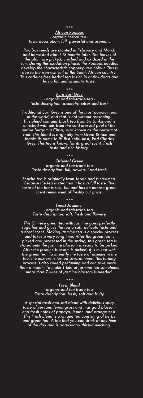#### *\*\*\* African Rooibos - organic herbal tea - Taste description: full, powerful and aromatic*

*Rooibos seeds are planted in February and March and harvested about 18 months later. The leaves of the plant are picked, crushed and oxidized in the sun. During this oxidation phase, the Rooibos needles develop the characteristic coppery, red colour. This is due to the iron-rich soil of the South African country. This caffeine-free herbal tea is rich in antioxidants and has a full and aromatic taste.*

*\*\*\* Pure Earl Grey - organic and fair-trade tea - Taste description: aromatic, citrus and fresh*

*Traditional Earl Grey is one of the most popular teas in the world, and that is not without reasoning. This blend contains black tea from Sri Lanka and is enriched with oils from the cold-pressed peel of the unripe Bergamia Citrus, also known as the bergamot fruit. This blend is originally from Great Britain and thanks its name to its first enthusiast; Earl Charles Grey. This tea is known for its great scent, fresh taste and rich history.* 

> *\*\*\* Oriental Green - organic and fair-trade tea - Taste description: full, powerful and fresh*

*Sencha tea is originally from Japan and is steamed. Because the tea is steamed it has its full taste. The taste of the tea is rich, full and has an intense green scent reminiscent of freshly cut grass.*

> *\*\*\* Finest Jasmine, - organic and fair-trade tea - Taste description: soft, fresh and flowery*

*This Chinese green tea with jasmine goes perfectly together and gives the tea a soft, delicate taste and a floral scent. Making jasmine tea is a special process and takes a very long time. After the green tea is picked and processed in the spring, this green tea is stored until the jasmine blossom is ready to be picked. After the jasmine blossom is picked, it is mixed with the green tea. To intensify the taste of jasmine in the tea, the mixture is turned several times. This turning process is also called perfuming and can take more than a month. To make 1 kilo of jasmine tea sometimes more than 7 kilos of jasmine blossom is needed.*

*\*\*\**

*Fresh Blend - organic and fair-trade tea - Taste description: fresh, soft and fruity*

*A special fresh and soft blend with delicious spicy taste of vervain, lemongrass and marigold blossom and fresh notes of papaya, lemon- and orange zest. This Fresh Blend is a unique tea consisting of herbs and green tea. A tea that you can drink at any time of the day and is particularly thirst-quenching.*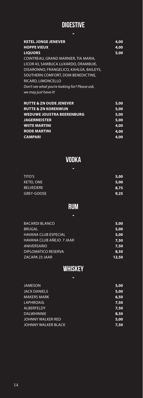### DIGESTIVE -

| <b>KETEL JONGE JENEVER</b>                     | 4,00 |
|------------------------------------------------|------|
| <b>HOPPE VIEUX</b>                             | 4,00 |
| <b>LIQUORS</b>                                 | 5,00 |
| COINTREAU, GRAND MARNIER, TIA MARIA,           |      |
| LICOR 43, SAMBUCA LUXARDO, DRAMBUIE,           |      |
| DISARONNO, FRANGELICO, KAHLÚA, BAILEYS,        |      |
| SOUTHERN COMFORT, DOM BENEDICTINE,             |      |
| RICARD, LIMONCELLO                             |      |
| Don't see what you're looking for? Please ask, |      |
| we may just have it!                           |      |
|                                                |      |
|                                                |      |

| <b>RUTTE &amp; ZN OUDE JENEVER</b> | 5,00 |
|------------------------------------|------|
| <b>RUTTE &amp; ZN KORENWIJN</b>    | 5,00 |
| <b>WEDUWE JOUSTRA BEERENBURG</b>   | 5,00 |
| <b>JAGERMEISTER</b>                | 5,00 |
| <b>WIITE MARTINI</b>               | 4.00 |
| <b>RODE MARTINI</b>                | 4.00 |
| <b>CAMPARI</b>                     | 4.00 |
|                                    |      |

# VODKA

| <b>TITO'S</b>    | 5,00 |
|------------------|------|
| <b>KETEL ONE</b> | 5,00 |
| <b>BELVEDERE</b> | 8,75 |
| GREY-GOOSE       | 9,25 |

# RUM

| <b>BACARDI BLANCO</b>       | 5,00  |
|-----------------------------|-------|
| <b>BRUGAL</b>               | 5,00  |
| <b>HAVANA CLUB ESPECIAL</b> | 5,00  |
| HAVANA CLUB AÑEJO 7 JAAR    | 7,50  |
| <b>ANIVERSARIO</b>          | 7,50  |
| DIPLOMATICO RESERVA         | 8,50  |
| ZACAPA 23 JAAR              | 12,50 |
|                             |       |

### **WHISKEY** -

| <b>JAMESON</b>      | 5,00 |
|---------------------|------|
| <b>JACK DANIELS</b> | 5,00 |
| <b>MAKERS MARK</b>  | 6,50 |
| <b>LAPHROAIG</b>    | 7,50 |
| <b>ALBERFELDY</b>   | 7,50 |
| <b>DALWHINNIE</b>   | 8,50 |
| JOHNNY WALKER RED   | 5,00 |
| JOHNNY WALKER BLACK | 7,50 |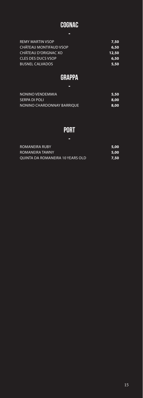## COGNAC -

| <b>REMY MARTIN VSOP</b>   | 7,50  |
|---------------------------|-------|
| CHÂTEAU MONTIFAUD VSOP    | 6,50  |
| CHÂTEAU D'ORIGNAC XO      | 12,50 |
| <b>CLES DES DUCS VSOP</b> | 6,50  |
| <b>BUSNEL CALVADOS</b>    | 5.50  |
|                           |       |

### **GRAPPA** -

| NONINO VENDEMMIA           | -5,50 |
|----------------------------|-------|
| SERPA DI POLI              | 8,00  |
| NONINO CHARDONNAY BARRIOUE | 8,00  |

### PORT -

| ROMANEIRA RUBY                   | -5,00 |
|----------------------------------|-------|
| ROMANEIRA TAWNY                  | -5,00 |
| OUINTA DA ROMANEIRA 10 YEARS OLD | 7,50  |